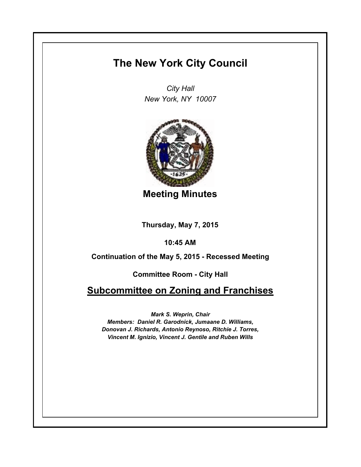# **The New York City Council**

*City Hall New York, NY 10007*



**Meeting Minutes**

**Thursday, May 7, 2015**

**10:45 AM**

**Continuation of the May 5, 2015 - Recessed Meeting**

**Committee Room - City Hall**

# **Subcommittee on Zoning and Franchises**

*Mark S. Weprin, Chair Members: Daniel R. Garodnick, Jumaane D. Williams, Donovan J. Richards, Antonio Reynoso, Ritchie J. Torres, Vincent M. Ignizio, Vincent J. Gentile and Ruben Wills*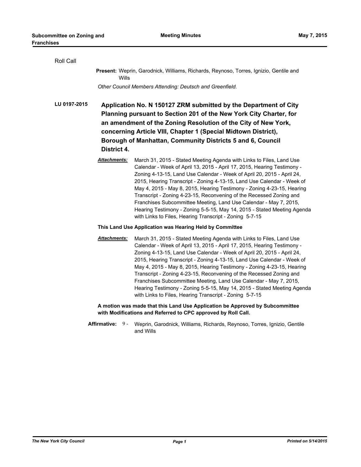| Roll Call    |                                                         |                                                                                                                                                                                                                                                                                                                                                                                                                                                                                                                                                                                                                                                                 |  |
|--------------|---------------------------------------------------------|-----------------------------------------------------------------------------------------------------------------------------------------------------------------------------------------------------------------------------------------------------------------------------------------------------------------------------------------------------------------------------------------------------------------------------------------------------------------------------------------------------------------------------------------------------------------------------------------------------------------------------------------------------------------|--|
|              | Wills                                                   | Present: Weprin, Garodnick, Williams, Richards, Reynoso, Torres, Ignizio, Gentile and                                                                                                                                                                                                                                                                                                                                                                                                                                                                                                                                                                           |  |
|              |                                                         | Other Council Members Attending: Deutsch and Greenfield.                                                                                                                                                                                                                                                                                                                                                                                                                                                                                                                                                                                                        |  |
| LU 0197-2015 | District 4.                                             | Application No. N 150127 ZRM submitted by the Department of City<br>Planning pursuant to Section 201 of the New York City Charter, for<br>an amendment of the Zoning Resolution of the City of New York,<br>concerning Article VIII, Chapter 1 (Special Midtown District),<br>Borough of Manhattan, Community Districts 5 and 6, Council                                                                                                                                                                                                                                                                                                                        |  |
|              | Attachments:                                            | March 31, 2015 - Stated Meeting Agenda with Links to Files, Land Use<br>Calendar - Week of April 13, 2015 - April 17, 2015, Hearing Testimony -<br>Zoning 4-13-15, Land Use Calendar - Week of April 20, 2015 - April 24,<br>2015, Hearing Transcript - Zoning 4-13-15, Land Use Calendar - Week of<br>May 4, 2015 - May 8, 2015, Hearing Testimony - Zoning 4-23-15, Hearing<br>Transcript - Zoning 4-23-15, Reconvening of the Recessed Zoning and<br>Franchises Subcommittee Meeting, Land Use Calendar - May 7, 2015,<br>Hearing Testimony - Zoning 5-5-15, May 14, 2015 - Stated Meeting Agenda<br>with Links to Files, Hearing Transcript - Zoning 5-7-15 |  |
|              | This Land Use Application was Hearing Held by Committee |                                                                                                                                                                                                                                                                                                                                                                                                                                                                                                                                                                                                                                                                 |  |
|              | Attachments:                                            | March 31, 2015 - Stated Meeting Agenda with Links to Files, Land Use<br>Calendar - Week of April 13, 2015 - April 17, 2015, Hearing Testimony -<br>Zoning 4-13-15, Land Use Calendar - Week of April 20, 2015 - April 24,<br>2015, Hearing Transcript - Zoning 4-13-15, Land Use Calendar - Week of<br>May 4, 2015 - May 8, 2015, Hearing Testimony - Zoning 4-23-15, Hearing<br>Transcript - Zoning 4-23-15, Reconvening of the Recessed Zoning and<br>Franchises Subcommittee Meeting, Land Use Calendar - May 7, 2015,<br>Hearing Testimony - Zoning 5-5-15, May 14, 2015 - Stated Meeting Agenda<br>with Links to Files, Hearing Transcript - Zoning 5-7-15 |  |
|              |                                                         | A motion was made that this Land Use Application be Approved by Subcommittee<br>with Modifications and Referred to CPC approved by Roll Call.                                                                                                                                                                                                                                                                                                                                                                                                                                                                                                                   |  |
|              | <b>Affirmative:</b><br>9 -                              | Weprin, Garodnick, Williams, Richards, Reynoso, Torres, Ignizio, Gentile<br>and Wills                                                                                                                                                                                                                                                                                                                                                                                                                                                                                                                                                                           |  |
|              |                                                         |                                                                                                                                                                                                                                                                                                                                                                                                                                                                                                                                                                                                                                                                 |  |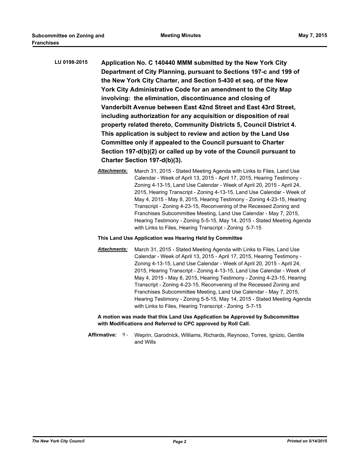| LU 0198-2015 | Application No. C 140440 MMM submitted by the New York City          |
|--------------|----------------------------------------------------------------------|
|              | Department of City Planning, pursuant to Sections 197-c and 199 of   |
|              | the New York City Charter, and Section 5-430 et seq. of the New      |
|              | York City Administrative Code for an amendment to the City Map       |
|              | involving: the elimination, discontinuance and closing of            |
|              | Vanderbilt Avenue between East 42nd Street and East 43rd Street,     |
|              | including authorization for any acquisition or disposition of real   |
|              | property related thereto, Community Districts 5, Council District 4. |
|              | This application is subject to review and action by the Land Use     |
|              | Committee only if appealed to the Council pursuant to Charter        |
|              | Section 197-d(b)(2) or called up by vote of the Council pursuant to  |
|              | Charter Section 197-d(b)(3).                                         |

#### **This Land Use Application was Hearing Held by Committee**

*Attachments:* March 31, 2015 - Stated Meeting Agenda with Links to Files, Land Use Calendar - Week of April 13, 2015 - April 17, 2015, Hearing Testimony - Zoning 4-13-15, Land Use Calendar - Week of April 20, 2015 - April 24, 2015, Hearing Transcript - Zoning 4-13-15, Land Use Calendar - Week of May 4, 2015 - May 8, 2015, Hearing Testimony - Zoning 4-23-15, Hearing Transcript - Zoning 4-23-15, Reconvening of the Recessed Zoning and Franchises Subcommittee Meeting, Land Use Calendar - May 7, 2015, Hearing Testimony - Zoning 5-5-15, May 14, 2015 - Stated Meeting Agenda with Links to Files, Hearing Transcript - Zoning 5-7-15

**A motion was made that this Land Use Application be Approved by Subcommittee with Modifications and Referred to CPC approved by Roll Call.**

**Affirmative:** Weprin, Garodnick, Williams, Richards, Reynoso, Torres, Ignizio, Gentile and Wills Affirmative: 9-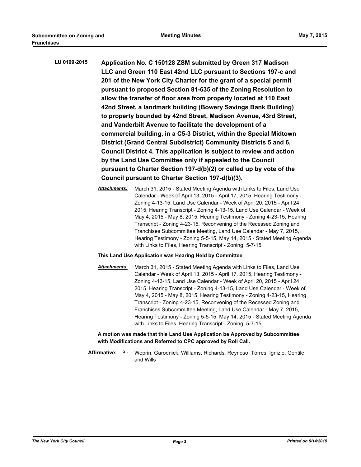| LU 0199-2015 | Application No. C 150128 ZSM submitted by Green 317 Madison          |
|--------------|----------------------------------------------------------------------|
|              | LLC and Green 110 East 42nd LLC pursuant to Sections 197-c and       |
|              | 201 of the New York City Charter for the grant of a special permit   |
|              | pursuant to proposed Section 81-635 of the Zoning Resolution to      |
|              | allow the transfer of floor area from property located at 110 East   |
|              | 42nd Street, a landmark building (Bowery Savings Bank Building)      |
|              | to property bounded by 42nd Street, Madison Avenue, 43rd Street,     |
|              | and Vanderbilt Avenue to facilitate the development of a             |
|              | commercial building, in a C5-3 District, within the Special Midtown  |
|              | District (Grand Central Subdistrict) Community Districts 5 and 6,    |
|              | Council District 4. This application is subject to review and action |
|              | by the Land Use Committee only if appealed to the Council            |
|              | pursuant to Charter Section 197-d(b)(2) or called up by vote of the  |
|              | Council pursuant to Charter Section 197-d(b)(3).                     |

## **This Land Use Application was Hearing Held by Committee**

*Attachments:* March 31, 2015 - Stated Meeting Agenda with Links to Files, Land Use Calendar - Week of April 13, 2015 - April 17, 2015, Hearing Testimony - Zoning 4-13-15, Land Use Calendar - Week of April 20, 2015 - April 24, 2015, Hearing Transcript - Zoning 4-13-15, Land Use Calendar - Week of May 4, 2015 - May 8, 2015, Hearing Testimony - Zoning 4-23-15, Hearing Transcript - Zoning 4-23-15, Reconvening of the Recessed Zoning and Franchises Subcommittee Meeting, Land Use Calendar - May 7, 2015, Hearing Testimony - Zoning 5-5-15, May 14, 2015 - Stated Meeting Agenda with Links to Files, Hearing Transcript - Zoning 5-7-15

**A motion was made that this Land Use Application be Approved by Subcommittee with Modifications and Referred to CPC approved by Roll Call.**

Affirmative: 9 - Weprin, Garodnick, Williams, Richards, Reynoso, Torres, Ignizio, Gentile and Wills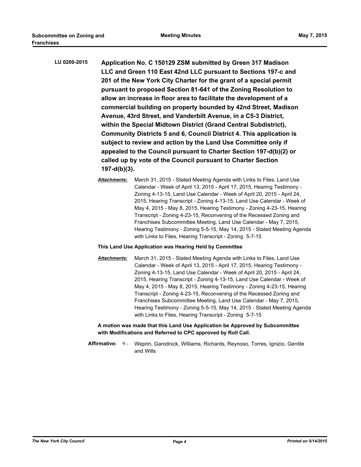| LU 0200-2015 | Application No. C 150129 ZSM submitted by Green 317 Madison          |
|--------------|----------------------------------------------------------------------|
|              | LLC and Green 110 East 42nd LLC pursuant to Sections 197-c and       |
|              | 201 of the New York City Charter for the grant of a special permit   |
|              | pursuant to proposed Section 81-641 of the Zoning Resolution to      |
|              | allow an increase in floor area to facilitate the development of a   |
|              | commercial building on property bounded by 42nd Street, Madison      |
|              | Avenue, 43rd Street, and Vanderbilt Avenue, in a C5-3 District,      |
|              | within the Special Midtown District (Grand Central Subdistrict),     |
|              | Community Districts 5 and 6, Council District 4. This application is |
|              | subject to review and action by the Land Use Committee only if       |
|              | appealed to the Council pursuant to Charter Section 197-d(b)(2) or   |
|              | called up by vote of the Council pursuant to Charter Section         |
|              | $197-d(b)(3)$ .                                                      |

#### **This Land Use Application was Hearing Held by Committee**

*Attachments:* March 31, 2015 - Stated Meeting Agenda with Links to Files, Land Use Calendar - Week of April 13, 2015 - April 17, 2015, Hearing Testimony - Zoning 4-13-15, Land Use Calendar - Week of April 20, 2015 - April 24, 2015, Hearing Transcript - Zoning 4-13-15, Land Use Calendar - Week of May 4, 2015 - May 8, 2015, Hearing Testimony - Zoning 4-23-15, Hearing Transcript - Zoning 4-23-15, Reconvening of the Recessed Zoning and Franchises Subcommittee Meeting, Land Use Calendar - May 7, 2015, Hearing Testimony - Zoning 5-5-15, May 14, 2015 - Stated Meeting Agenda with Links to Files, Hearing Transcript - Zoning 5-7-15

#### **A motion was made that this Land Use Application be Approved by Subcommittee with Modifications and Referred to CPC approved by Roll Call.**

Affirmative: 9 - Weprin, Garodnick, Williams, Richards, Reynoso, Torres, Ignizio, Gentile and Wills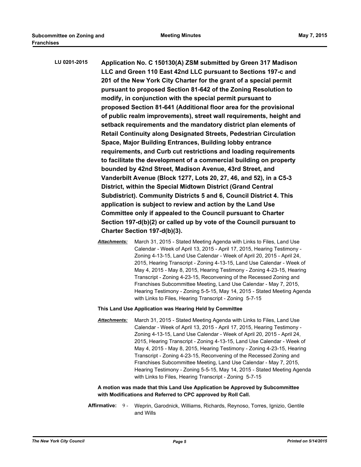| LU 0201-2015 | Application No. C 150130(A) ZSM submitted by Green 317 Madison            |
|--------------|---------------------------------------------------------------------------|
|              | LLC and Green 110 East 42nd LLC pursuant to Sections 197-c and            |
|              | 201 of the New York City Charter for the grant of a special permit        |
|              | pursuant to proposed Section 81-642 of the Zoning Resolution to           |
|              | modify, in conjunction with the special permit pursuant to                |
|              | proposed Section 81-641 (Additional floor area for the provisional        |
|              | of public realm improvements), street wall requirements, height and       |
|              | setback requirements and the mandatory district plan elements of          |
|              | <b>Retail Continuity along Designated Streets, Pedestrian Circulation</b> |
|              | Space, Major Building Entrances, Building lobby entrance                  |
|              | requirements, and Curb cut restrictions and loading requirements          |
|              | to facilitate the development of a commercial building on property        |
|              | bounded by 42nd Street, Madison Avenue, 43rd Street, and                  |
|              | Vanderbilt Avenue (Block 1277, Lots 20, 27, 46, and 52), in a C5-3        |
|              | District, within the Special Midtown District (Grand Central              |
|              | Subdistrict). Community Districts 5 and 6, Council District 4. This       |
|              | application is subject to review and action by the Land Use               |
|              | Committee only if appealed to the Council pursuant to Charter             |
|              | Section 197-d(b)(2) or called up by vote of the Council pursuant to       |
|              | Charter Section 197-d(b)(3).                                              |

#### **This Land Use Application was Hearing Held by Committee**

*Attachments:* March 31, 2015 - Stated Meeting Agenda with Links to Files, Land Use Calendar - Week of April 13, 2015 - April 17, 2015, Hearing Testimony - Zoning 4-13-15, Land Use Calendar - Week of April 20, 2015 - April 24, 2015, Hearing Transcript - Zoning 4-13-15, Land Use Calendar - Week of May 4, 2015 - May 8, 2015, Hearing Testimony - Zoning 4-23-15, Hearing Transcript - Zoning 4-23-15, Reconvening of the Recessed Zoning and Franchises Subcommittee Meeting, Land Use Calendar - May 7, 2015, Hearing Testimony - Zoning 5-5-15, May 14, 2015 - Stated Meeting Agenda with Links to Files, Hearing Transcript - Zoning 5-7-15

#### **A motion was made that this Land Use Application be Approved by Subcommittee with Modifications and Referred to CPC approved by Roll Call.**

Affirmative: 9 - Weprin, Garodnick, Williams, Richards, Reynoso, Torres, Ignizio, Gentile and Wills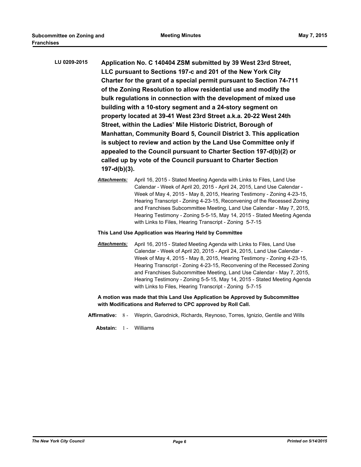- **LU 0209-2015 Application No. C 140404 ZSM submitted by 39 West 23rd Street, LLC pursuant to Sections 197-c and 201 of the New York City Charter for the grant of a special permit pursuant to Section 74-711 of the Zoning Resolution to allow residential use and modify the bulk regulations in connection with the development of mixed use building with a 10-story segment and a 24-story segment on property located at 39-41 West 23rd Street a.k.a. 20-22 West 24th Street, within the Ladies' Mile Historic District, Borough of Manhattan, Community Board 5, Council District 3. This application is subject to review and action by the Land Use Committee only if appealed to the Council pursuant to Charter Section 197-d(b)(2) or called up by vote of the Council pursuant to Charter Section 197-d(b)(3).**
	- *Attachments:* April 16, 2015 Stated Meeting Agenda with Links to Files, Land Use Calendar - Week of April 20, 2015 - April 24, 2015, Land Use Calendar - Week of May 4, 2015 - May 8, 2015, Hearing Testimony - Zoning 4-23-15, Hearing Transcript - Zoning 4-23-15, Reconvening of the Recessed Zoning and Franchises Subcommittee Meeting, Land Use Calendar - May 7, 2015, Hearing Testimony - Zoning 5-5-15, May 14, 2015 - Stated Meeting Agenda with Links to Files, Hearing Transcript - Zoning 5-7-15
	- **This Land Use Application was Hearing Held by Committee**
	- *Attachments:* April 16, 2015 Stated Meeting Agenda with Links to Files, Land Use Calendar - Week of April 20, 2015 - April 24, 2015, Land Use Calendar - Week of May 4, 2015 - May 8, 2015, Hearing Testimony - Zoning 4-23-15, Hearing Transcript - Zoning 4-23-15, Reconvening of the Recessed Zoning and Franchises Subcommittee Meeting, Land Use Calendar - May 7, 2015, Hearing Testimony - Zoning 5-5-15, May 14, 2015 - Stated Meeting Agenda with Links to Files, Hearing Transcript - Zoning 5-7-15

**A motion was made that this Land Use Application be Approved by Subcommittee with Modifications and Referred to CPC approved by Roll Call.**

- **Affirmative:** 8 Weprin, Garodnick, Richards, Reynoso, Torres, Ignizio, Gentile and Wills
	- **Abstain:** 1 Williams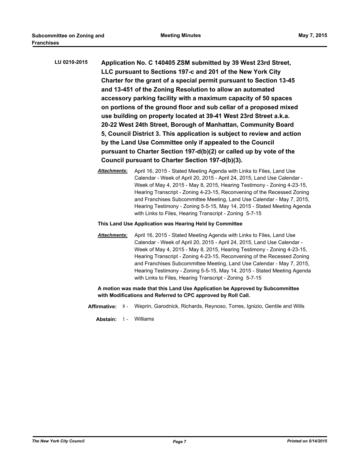| LU 0210-2015 | Application No. C 140405 ZSM submitted by 39 West 23rd Street,          |
|--------------|-------------------------------------------------------------------------|
|              | LLC pursuant to Sections 197-c and 201 of the New York City             |
|              | Charter for the grant of a special permit pursuant to Section 13-45     |
|              | and 13-451 of the Zoning Resolution to allow an automated               |
|              | accessory parking facility with a maximum capacity of 50 spaces         |
|              | on portions of the ground floor and sub cellar of a proposed mixed      |
|              | use building on property located at 39-41 West 23rd Street a.k.a.       |
|              | 20-22 West 24th Street, Borough of Manhattan, Community Board           |
|              | 5, Council District 3. This application is subject to review and action |
|              | by the Land Use Committee only if appealed to the Council               |
|              | pursuant to Charter Section 197-d(b)(2) or called up by vote of the     |
|              | Council pursuant to Charter Section 197-d(b)(3).                        |

- *Attachments:* April 16, 2015 Stated Meeting Agenda with Links to Files, Land Use Calendar - Week of April 20, 2015 - April 24, 2015, Land Use Calendar - Week of May 4, 2015 - May 8, 2015, Hearing Testimony - Zoning 4-23-15, Hearing Transcript - Zoning 4-23-15, Reconvening of the Recessed Zoning and Franchises Subcommittee Meeting, Land Use Calendar - May 7, 2015, Hearing Testimony - Zoning 5-5-15, May 14, 2015 - Stated Meeting Agenda with Links to Files, Hearing Transcript - Zoning 5-7-15
- **This Land Use Application was Hearing Held by Committee**
- *Attachments:* April 16, 2015 Stated Meeting Agenda with Links to Files, Land Use Calendar - Week of April 20, 2015 - April 24, 2015, Land Use Calendar - Week of May 4, 2015 - May 8, 2015, Hearing Testimony - Zoning 4-23-15, Hearing Transcript - Zoning 4-23-15, Reconvening of the Recessed Zoning and Franchises Subcommittee Meeting, Land Use Calendar - May 7, 2015, Hearing Testimony - Zoning 5-5-15, May 14, 2015 - Stated Meeting Agenda with Links to Files, Hearing Transcript - Zoning 5-7-15

**A motion was made that this Land Use Application be Approved by Subcommittee with Modifications and Referred to CPC approved by Roll Call.**

**Affirmative:** 8 - Weprin, Garodnick, Richards, Reynoso, Torres, Ignizio, Gentile and Wills

**Abstain:** 1 - Williams